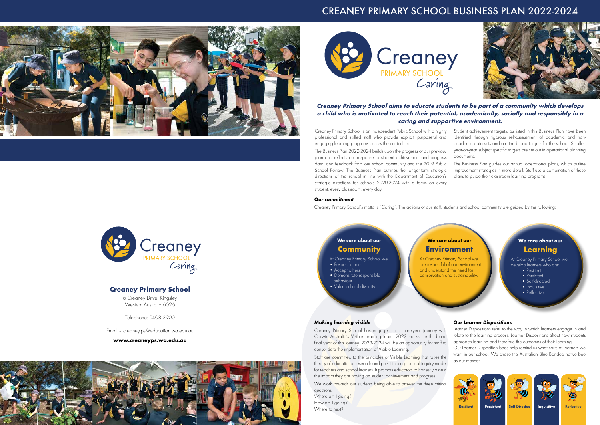## **Creaney Primary School**

6 Creaney Drive, Kingsley Western Australia 6026

Telephone: 9408 2900

Email – creaney.ps@education.wa.edu.au

**www.creaneyps.wa.edu.au**





### **Creaney Primary School aims to educate students to be part of a community which develops a child who is motivated to reach their potential, academically, socially and responsibly in a caring and supportive environment.**

## CREANEY PRIMARY SCHOOL BUSINESS PLAN 2022-2024





## **We care about our Community**

At Creaney Primary School we:

- Respect others
- Accept others
- Demonstrate responsible behaviour
- Value cultural diversity

## **Environment**



Staff are committed to the principles of Visible Learning that takes the theory of educational research and puts it into a practical inquiry model as our mascot. the Australian Blue Banded native between the Australian Blue Banded native bees.<br>The Australian Blue Banded native between the Australian Blue Banded native bees as our mascot. the impact they are having on student achievement and progress. the Australian Blue Banded native bee as our mascot. the Australian Blue Banded native between the Australian Blue Banded native between the Australian Blue Banded <br>The Australian Blue Banded native between the Australian Blue Banded native between the Australian Blue Blue B

Creaney Primary School is an Independent Public School with a highly professional and skilled staff who provide explicit, purposeful and engaging learning programs across the curriculum. The Business Plan 2022-2024 builds upon the progress of our previous Student achievement targets, as listed in this Business Plan have been identified through rigorous self-assessment of academic and nonacademic data sets and are the broad targets for the school. Smaller, year-on-year subject specific targets are set out in operational planning documents.

We work towards our students being able to answer the three critical questions:

Where am I going? How am I going? Where to next?



plan and reflects our response to student achievement and progress data, and feedback from our school community and the 2019 Public School Review. The Business Plan outlines the longer-term strategic directions of the school in line with the Department of Education's strategic directions for schools 2020-2024 with a focus on every student, every classroom, every day. The Business Plan guides our annual operational plans, which outline improvement strategies in more detail. Staff use a combination of these plans to guide their classroom learning programs.

#### *Our commitment*

Creaney Primary School's motto is "Caring". The actions of our staff, students and school community are guided by the following:

#### *Making learning visible*

Creaney Primary School has engaged in a three-year journey with Learner L Corwin Australia's Visible Learning team. 2022 marks the third and final year of this journey. 2023-2024 will be an opportunity for staff to consolid<mark>ate the implementation of Visible Learning.</mark>

### *Our Learner Dispositions*

with learner Dispositions refer to the way in which learners engage in and 22 marks the third and relate to the learning process. Learner Dispositions affect how students in opportunity for staff to approach learning and therefore the outcomes of their learning. earn. 2022 marks the third and the way in the learning process. Learner propositions and roow statement will be an opportunity for staff to approach learning and therefore the outcomes of their learning.

Our Learner Disposition bees help remind us what sorts of learners we want in our school. We chose the Australian Blue Banded native bee as our learners when want in our mascot.<br>Disposition bees help remind us what sorts of learners we want in our school. We chose help remind us what sor Our mascot. Disposition between the learners we want in our sorts of learners we want in our school. We chose







Resilient Persistent Self-Directed Inquisitive Reflective